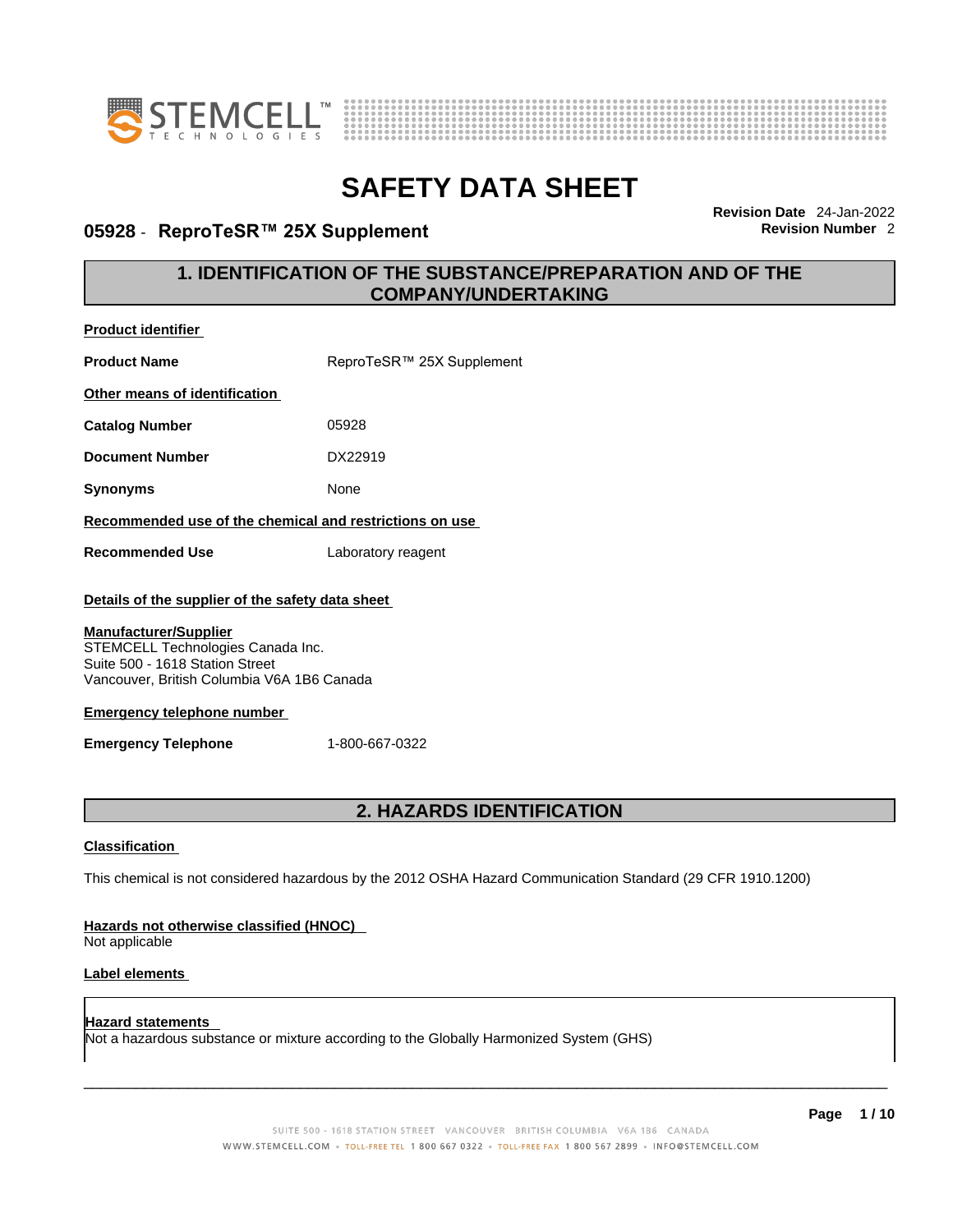

**Product identifier**



# **SAFETY DATA SHEET**

### **05928** - **ReproTeSR™ 25X Supplement Revision Number** 2

**Revision Date** 24-Jan-2022

### **1. IDENTIFICATION OF THE SUBSTANCE/PREPARATION AND OF THE COMPANY/UNDERTAKING**

| <b>Product Name</b>                                                                                                                                                                                                                                                       | ReproTeSR™ 25X Supplement                                                                                   |
|---------------------------------------------------------------------------------------------------------------------------------------------------------------------------------------------------------------------------------------------------------------------------|-------------------------------------------------------------------------------------------------------------|
| Other means of identification                                                                                                                                                                                                                                             |                                                                                                             |
| <b>Catalog Number</b>                                                                                                                                                                                                                                                     | 05928                                                                                                       |
| <b>Document Number</b>                                                                                                                                                                                                                                                    | DX22919                                                                                                     |
| <b>Synonyms</b>                                                                                                                                                                                                                                                           | None                                                                                                        |
| Recommended use of the chemical and restrictions on use                                                                                                                                                                                                                   |                                                                                                             |
| <b>Recommended Use</b>                                                                                                                                                                                                                                                    | Laboratory reagent                                                                                          |
| Details of the supplier of the safety data sheet<br><b>Manufacturer/Supplier</b><br>STEMCELL Technologies Canada Inc.<br>Suite 500 - 1618 Station Street<br>Vancouver, British Columbia V6A 1B6 Canada<br><b>Emergency telephone number</b><br><b>Emergency Telephone</b> | 1-800-667-0322                                                                                              |
|                                                                                                                                                                                                                                                                           | 2. HAZARDS IDENTIFICATION                                                                                   |
| <b>Classification</b>                                                                                                                                                                                                                                                     |                                                                                                             |
|                                                                                                                                                                                                                                                                           | This chemical is not considered hazardous by the 2012 OSHA Hazard Communication Standard (29 CFR 1910.1200) |
| Hazards not otherwise classified (HNOC)<br>Not applicable                                                                                                                                                                                                                 |                                                                                                             |
| Label elements                                                                                                                                                                                                                                                            |                                                                                                             |

**Hazard statements**  Not a hazardous substance or mixture according to the Globally Harmonized System (GHS)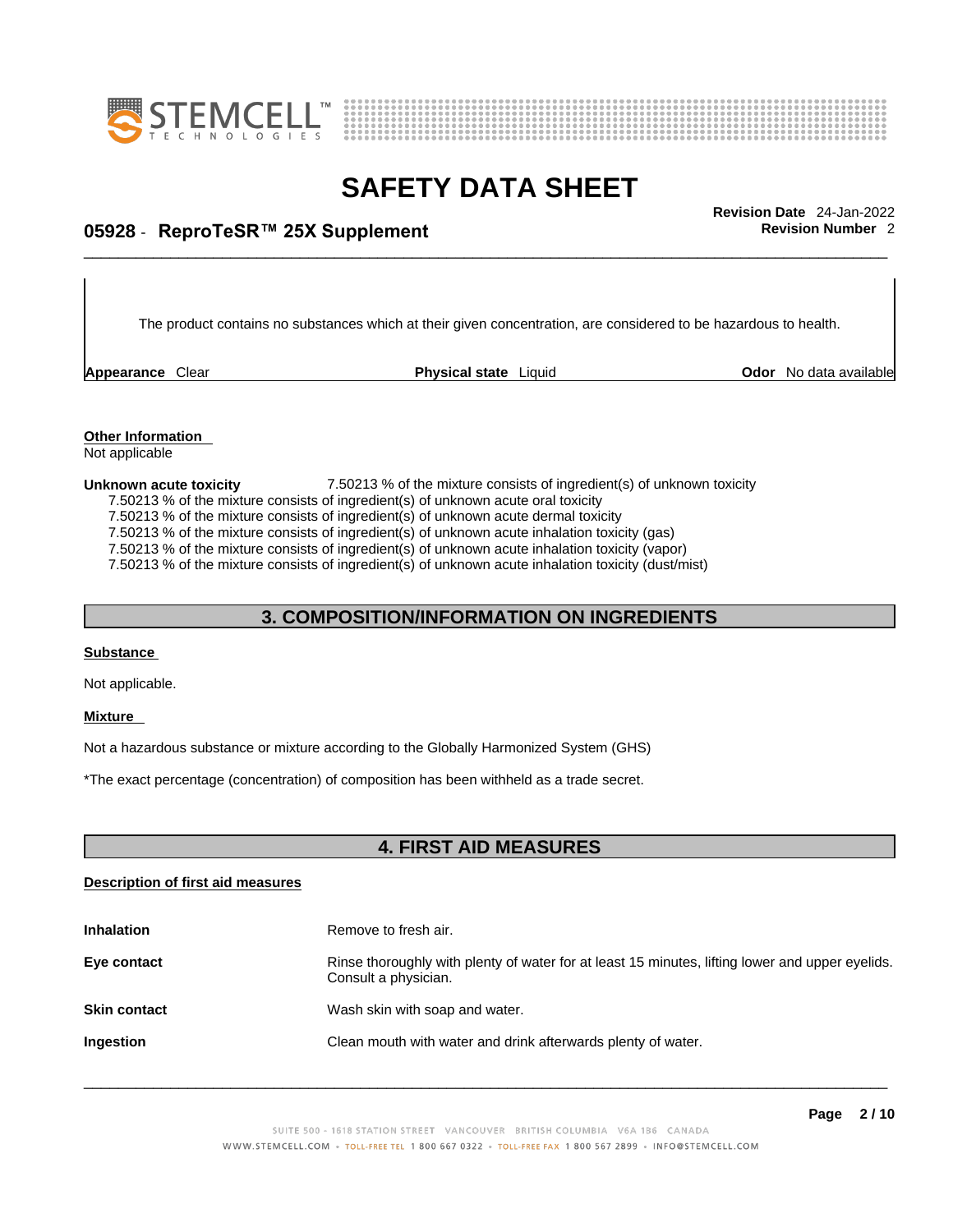



## \_\_\_\_\_\_\_\_\_\_\_\_\_\_\_\_\_\_\_\_\_\_\_\_\_\_\_\_\_\_\_\_\_\_\_\_\_\_\_\_\_\_\_\_\_\_\_\_\_\_\_\_\_\_\_\_\_\_\_\_\_\_\_\_\_\_\_\_\_\_\_\_\_\_\_\_\_\_\_\_\_\_\_\_\_\_\_\_\_\_\_\_\_ **Revision Date** 24-Jan-2022 **05928** - **ReproTeSR™ 25X Supplement Revision Number** 2

The product contains no substances which at their given concentration, are considered to be hazardous to health.

**Appearance Clear <b>Physical state** Liquid

**Odor** No data available

**Other Information**  Not applicable

**Unknown acute toxicity 1.50213** % of the mixture consists of ingredient(s) of unknown toxicity

7.50213 % of the mixture consists of ingredient(s) of unknown acute oral toxicity

7.50213 % of the mixture consists of ingredient(s) of unknown acute dermal toxicity

7.50213 % of the mixture consists of ingredient(s) of unknown acute inhalation toxicity (gas)

7.50213 % of the mixture consists of ingredient(s) of unknown acute inhalation toxicity (vapor)

7.50213 % of the mixture consists of ingredient(s) of unknown acute inhalation toxicity (dust/mist)

### **3. COMPOSITION/INFORMATION ON INGREDIENTS**

### **Substance**

Not applicable.

### **Mixture**

Not a hazardous substance or mixture according to the Globally Harmonized System (GHS)

\*The exact percentage (concentration) of composition has been withheld as a trade secret.

### **4. FIRST AID MEASURES**

### **Description of first aid measures**

| <b>Inhalation</b>   | Remove to fresh air.                                                                                                    |
|---------------------|-------------------------------------------------------------------------------------------------------------------------|
| Eye contact         | Rinse thoroughly with plenty of water for at least 15 minutes, lifting lower and upper eyelids.<br>Consult a physician. |
| <b>Skin contact</b> | Wash skin with soap and water.                                                                                          |
| Ingestion           | Clean mouth with water and drink afterwards plenty of water.                                                            |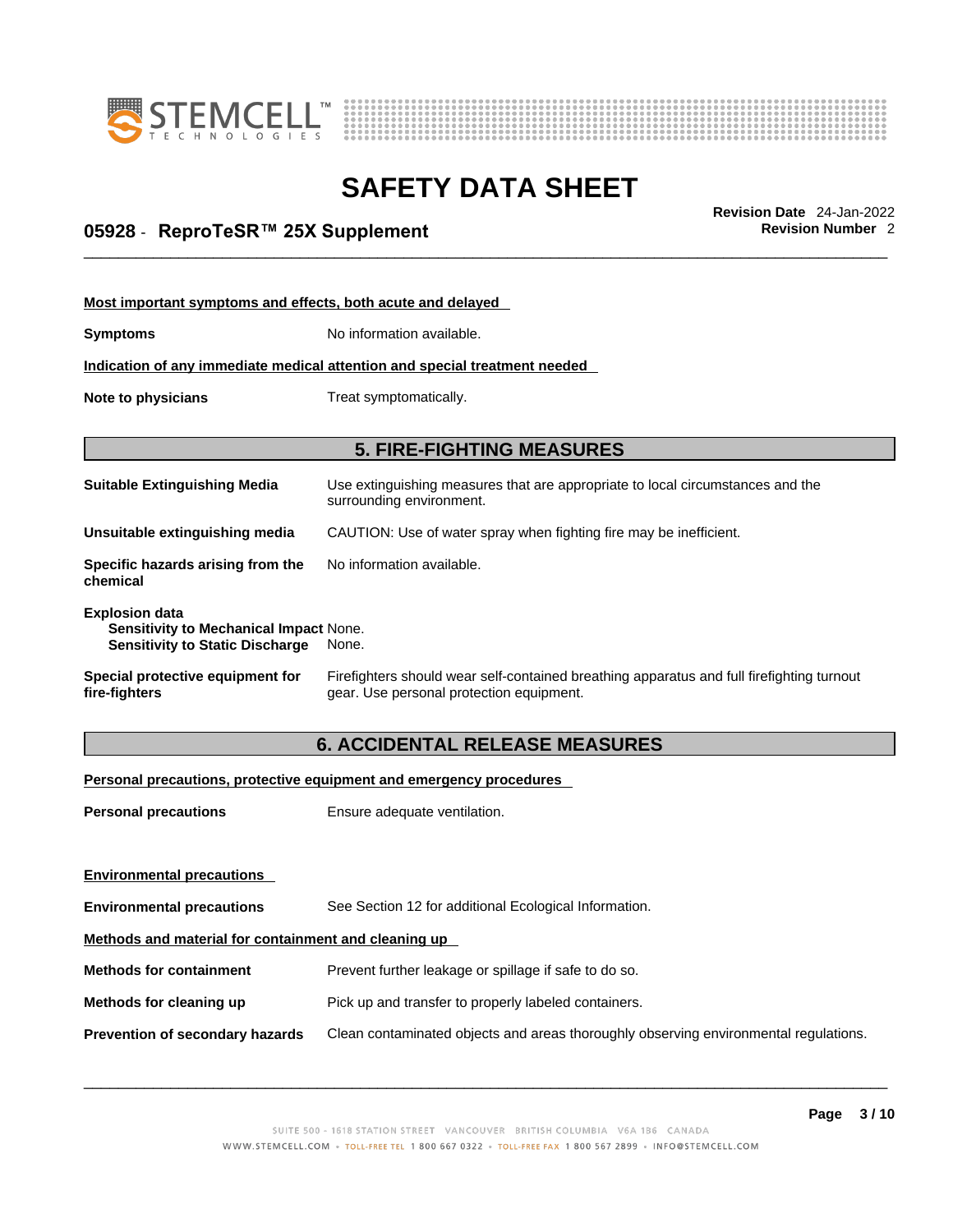



## \_\_\_\_\_\_\_\_\_\_\_\_\_\_\_\_\_\_\_\_\_\_\_\_\_\_\_\_\_\_\_\_\_\_\_\_\_\_\_\_\_\_\_\_\_\_\_\_\_\_\_\_\_\_\_\_\_\_\_\_\_\_\_\_\_\_\_\_\_\_\_\_\_\_\_\_\_\_\_\_\_\_\_\_\_\_\_\_\_\_\_\_\_ **Revision Date** 24-Jan-2022 **05928** - **ReproTeSR™ 25X Supplement Revision Number** 2

| Most important symptoms and effects, both acute and delayed                                                      |                                                                                                                                       |
|------------------------------------------------------------------------------------------------------------------|---------------------------------------------------------------------------------------------------------------------------------------|
| <b>Symptoms</b>                                                                                                  | No information available.                                                                                                             |
|                                                                                                                  | Indication of any immediate medical attention and special treatment needed                                                            |
| Note to physicians                                                                                               | Treat symptomatically.                                                                                                                |
|                                                                                                                  |                                                                                                                                       |
|                                                                                                                  | <b>5. FIRE-FIGHTING MEASURES</b>                                                                                                      |
| <b>Suitable Extinguishing Media</b>                                                                              | Use extinguishing measures that are appropriate to local circumstances and the<br>surrounding environment.                            |
| Unsuitable extinguishing media                                                                                   | CAUTION: Use of water spray when fighting fire may be inefficient.                                                                    |
| Specific hazards arising from the<br>chemical                                                                    | No information available.                                                                                                             |
| <b>Explosion data</b><br><b>Sensitivity to Mechanical Impact None.</b><br><b>Sensitivity to Static Discharge</b> | None.                                                                                                                                 |
| Special protective equipment for<br>fire-fighters                                                                | Firefighters should wear self-contained breathing apparatus and full firefighting turnout<br>gear. Use personal protection equipment. |

### **6. ACCIDENTAL RELEASE MEASURES**

### **Personal precautions, protective equipment and emergency procedures**

| <b>Personal precautions</b>                          | Ensure adequate ventilation.                                                         |
|------------------------------------------------------|--------------------------------------------------------------------------------------|
| <b>Environmental precautions</b>                     |                                                                                      |
| <b>Environmental precautions</b>                     | See Section 12 for additional Ecological Information.                                |
| Methods and material for containment and cleaning up |                                                                                      |
| <b>Methods for containment</b>                       | Prevent further leakage or spillage if safe to do so.                                |
| Methods for cleaning up                              | Pick up and transfer to properly labeled containers.                                 |
| Prevention of secondary hazards                      | Clean contaminated objects and areas thoroughly observing environmental regulations. |
|                                                      |                                                                                      |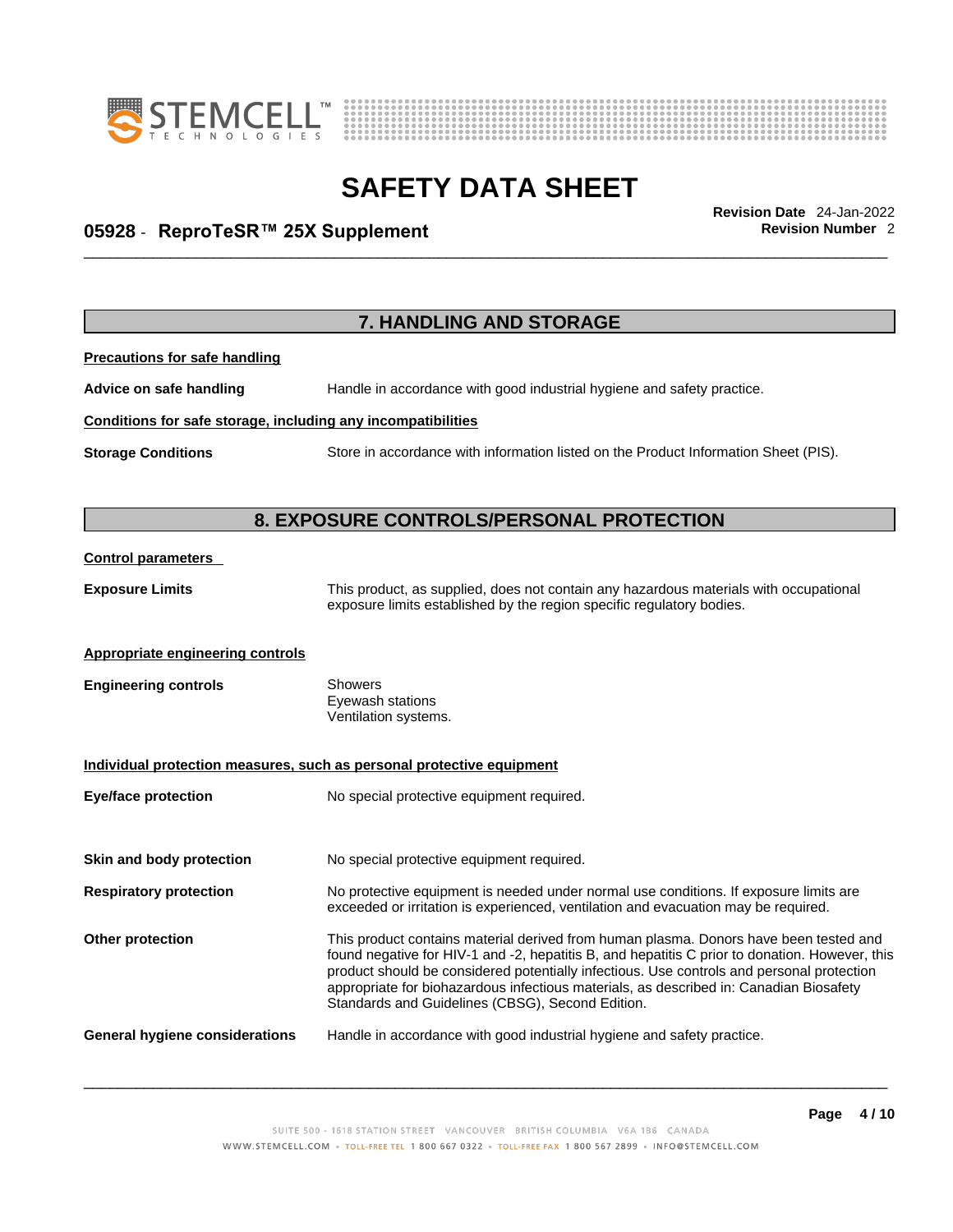



## \_\_\_\_\_\_\_\_\_\_\_\_\_\_\_\_\_\_\_\_\_\_\_\_\_\_\_\_\_\_\_\_\_\_\_\_\_\_\_\_\_\_\_\_\_\_\_\_\_\_\_\_\_\_\_\_\_\_\_\_\_\_\_\_\_\_\_\_\_\_\_\_\_\_\_\_\_\_\_\_\_\_\_\_\_\_\_\_\_\_\_\_\_ **Revision Date** 24-Jan-2022 **05928** - **ReproTeSR™ 25X Supplement Revision Number** 2

|                                                              | 7. HANDLING AND STORAGE                                                                                                                                                                                                                                                                                                                                                                                                            |
|--------------------------------------------------------------|------------------------------------------------------------------------------------------------------------------------------------------------------------------------------------------------------------------------------------------------------------------------------------------------------------------------------------------------------------------------------------------------------------------------------------|
| <b>Precautions for safe handling</b>                         |                                                                                                                                                                                                                                                                                                                                                                                                                                    |
| Advice on safe handling                                      | Handle in accordance with good industrial hygiene and safety practice.                                                                                                                                                                                                                                                                                                                                                             |
| Conditions for safe storage, including any incompatibilities |                                                                                                                                                                                                                                                                                                                                                                                                                                    |
| <b>Storage Conditions</b>                                    | Store in accordance with information listed on the Product Information Sheet (PIS).                                                                                                                                                                                                                                                                                                                                                |
|                                                              | 8. EXPOSURE CONTROLS/PERSONAL PROTECTION                                                                                                                                                                                                                                                                                                                                                                                           |
| <b>Control parameters</b>                                    |                                                                                                                                                                                                                                                                                                                                                                                                                                    |
| <b>Exposure Limits</b>                                       | This product, as supplied, does not contain any hazardous materials with occupational<br>exposure limits established by the region specific regulatory bodies.                                                                                                                                                                                                                                                                     |
| Appropriate engineering controls                             |                                                                                                                                                                                                                                                                                                                                                                                                                                    |
| <b>Engineering controls</b>                                  | Showers<br>Eyewash stations<br>Ventilation systems.                                                                                                                                                                                                                                                                                                                                                                                |
|                                                              | Individual protection measures, such as personal protective equipment                                                                                                                                                                                                                                                                                                                                                              |
| <b>Eye/face protection</b>                                   | No special protective equipment required.                                                                                                                                                                                                                                                                                                                                                                                          |
| Skin and body protection                                     | No special protective equipment required.                                                                                                                                                                                                                                                                                                                                                                                          |
| <b>Respiratory protection</b>                                | No protective equipment is needed under normal use conditions. If exposure limits are<br>exceeded or irritation is experienced, ventilation and evacuation may be required.                                                                                                                                                                                                                                                        |
| Other protection                                             | This product contains material derived from human plasma. Donors have been tested and<br>found negative for HIV-1 and -2, hepatitis B, and hepatitis C prior to donation. However, this<br>product should be considered potentially infectious. Use controls and personal protection<br>appropriate for biohazardous infectious materials, as described in: Canadian Biosafety<br>Standards and Guidelines (CBSG), Second Edition. |
| General hygiene considerations                               | Handle in accordance with good industrial hygiene and safety practice.                                                                                                                                                                                                                                                                                                                                                             |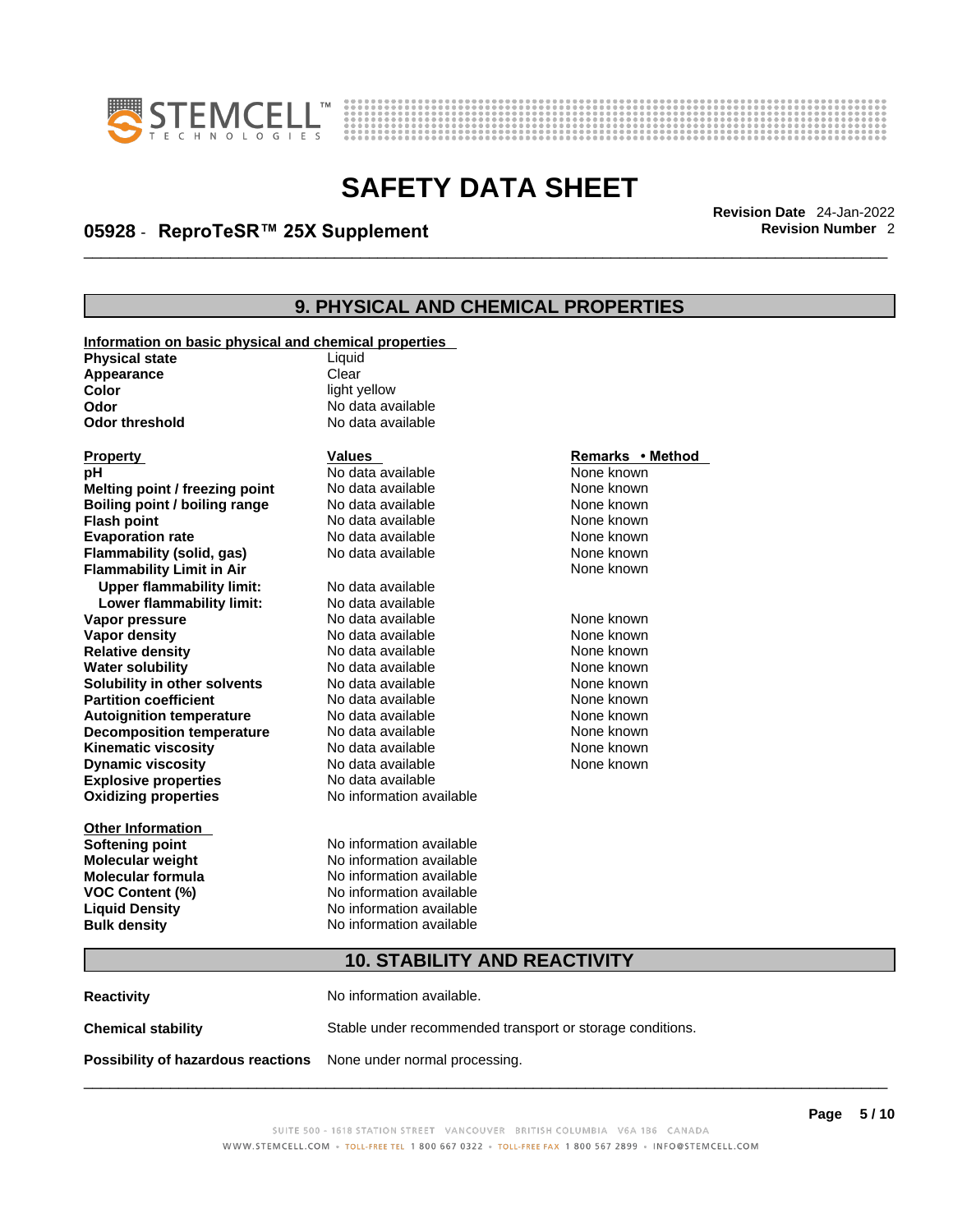



## \_\_\_\_\_\_\_\_\_\_\_\_\_\_\_\_\_\_\_\_\_\_\_\_\_\_\_\_\_\_\_\_\_\_\_\_\_\_\_\_\_\_\_\_\_\_\_\_\_\_\_\_\_\_\_\_\_\_\_\_\_\_\_\_\_\_\_\_\_\_\_\_\_\_\_\_\_\_\_\_\_\_\_\_\_\_\_\_\_\_\_\_\_ **Revision Date** 24-Jan-2022 **05928** - **ReproTeSR™ 25X Supplement Revision Number** 2

## **9. PHYSICAL AND CHEMICAL PROPERTIES**

| Information on basic physical and chemical properties |                          |                  |
|-------------------------------------------------------|--------------------------|------------------|
| <b>Physical state</b>                                 | Liquid                   |                  |
| Appearance                                            | Clear                    |                  |
| Color                                                 | light yellow             |                  |
| Odor                                                  | No data available        |                  |
| <b>Odor threshold</b>                                 | No data available        |                  |
| <b>Property</b>                                       | <b>Values</b>            | Remarks • Method |
| рH                                                    | No data available        | None known       |
| Melting point / freezing point                        | No data available        | None known       |
| Boiling point / boiling range                         | No data available        | None known       |
| <b>Flash point</b>                                    | No data available        | None known       |
| <b>Evaporation rate</b>                               | No data available        | None known       |
| Flammability (solid, gas)                             | No data available        | None known       |
| <b>Flammability Limit in Air</b>                      |                          | None known       |
| <b>Upper flammability limit:</b>                      | No data available        |                  |
| Lower flammability limit:                             | No data available        |                  |
| Vapor pressure                                        | No data available        | None known       |
| Vapor density                                         | No data available        | None known       |
| <b>Relative density</b>                               | No data available        | None known       |
| <b>Water solubility</b>                               | No data available        | None known       |
| Solubility in other solvents                          | No data available        | None known       |
| <b>Partition coefficient</b>                          | No data available        | None known       |
| <b>Autoignition temperature</b>                       | No data available        | None known       |
| <b>Decomposition temperature</b>                      | No data available        | None known       |
| <b>Kinematic viscosity</b>                            | No data available        | None known       |
| <b>Dynamic viscosity</b>                              | No data available        | None known       |
| <b>Explosive properties</b>                           | No data available        |                  |
| <b>Oxidizing properties</b>                           | No information available |                  |
| <b>Other Information</b>                              |                          |                  |
| <b>Softening point</b>                                | No information available |                  |
| <b>Molecular weight</b>                               | No information available |                  |
| <b>Molecular formula</b>                              | No information available |                  |
| VOC Content (%)                                       | No information available |                  |
| <b>Liquid Density</b>                                 | No information available |                  |
| <b>Bulk density</b>                                   | No information available |                  |
| <b>10. STABILITY AND REACTIVITY</b>                   |                          |                  |

**Reactivity No information available. Chemical stability** Stable under recommended transport or storage conditions. **Possibility of hazardous reactions** None under normal processing.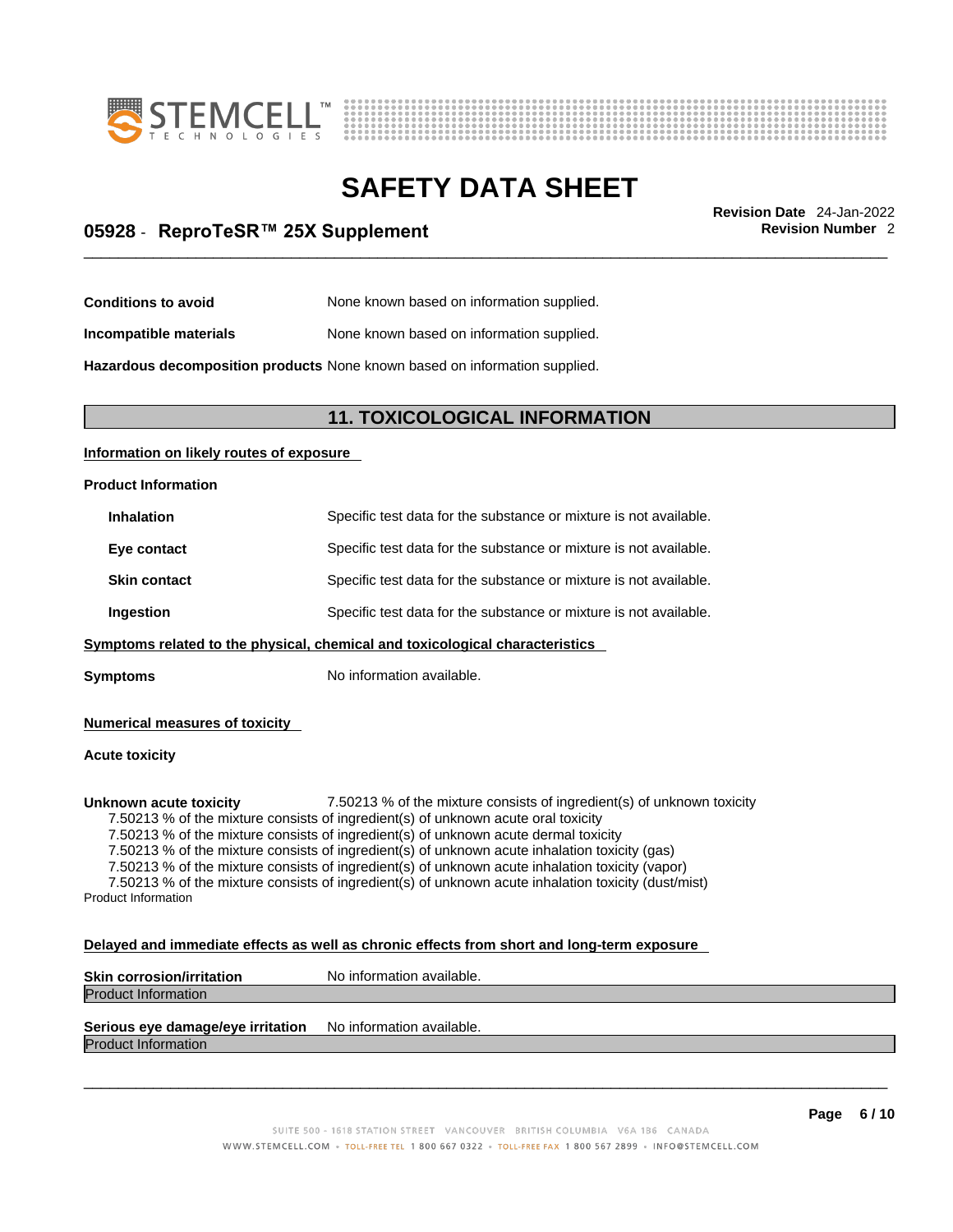



## \_\_\_\_\_\_\_\_\_\_\_\_\_\_\_\_\_\_\_\_\_\_\_\_\_\_\_\_\_\_\_\_\_\_\_\_\_\_\_\_\_\_\_\_\_\_\_\_\_\_\_\_\_\_\_\_\_\_\_\_\_\_\_\_\_\_\_\_\_\_\_\_\_\_\_\_\_\_\_\_\_\_\_\_\_\_\_\_\_\_\_\_\_ **Revision Date** 24-Jan-2022 **05928** - **ReproTeSR™ 25X Supplement Revision Number** 2

| <b>Conditions to avoid</b> | None known based on information supplied. |
|----------------------------|-------------------------------------------|
|----------------------------|-------------------------------------------|

**Incompatible materials** None known based on information supplied.

**Hazardous decomposition products** None known based on information supplied.

### **11. TOXICOLOGICAL INFORMATION**

### **Information on likely routes of exposure**

### **Product Information**

| <b>Inhalation</b>   | Specific test data for the substance or mixture is not available. |
|---------------------|-------------------------------------------------------------------|
| Eye contact         | Specific test data for the substance or mixture is not available. |
| <b>Skin contact</b> | Specific test data for the substance or mixture is not available. |
| Ingestion           | Specific test data for the substance or mixture is not available. |
|                     |                                                                   |

**Symptoms** related to the physical, chemical and toxicological characteristics

**Symptoms** No information available.

### **Numerical measures of toxicity**

### **Acute toxicity**

**Unknown acute toxicity** 7.50213 % of the mixture consists of ingredient(s) of unknown toxicity

7.50213 % of the mixture consists of ingredient(s) of unknown acute oral toxicity

7.50213 % of the mixture consists of ingredient(s) of unknown acute dermal toxicity

7.50213 % of the mixture consists of ingredient(s) of unknown acute inhalation toxicity (gas)

7.50213 % of the mixture consists of ingredient(s) of unknown acute inhalation toxicity (vapor)

7.50213 % of the mixture consists of ingredient(s) of unknown acute inhalation toxicity (dust/mist) Product Information

#### **Delayed and immediate effects as well as chronic effects from short and long-term exposure**

| <b>Skin corrosion/irritation</b> | No information available. |
|----------------------------------|---------------------------|
| <b>Product Information</b>       |                           |
| ___<br>_____                     | .<br>.                    |

### **Serious eye damage/eye irritation** No information available.

Product Information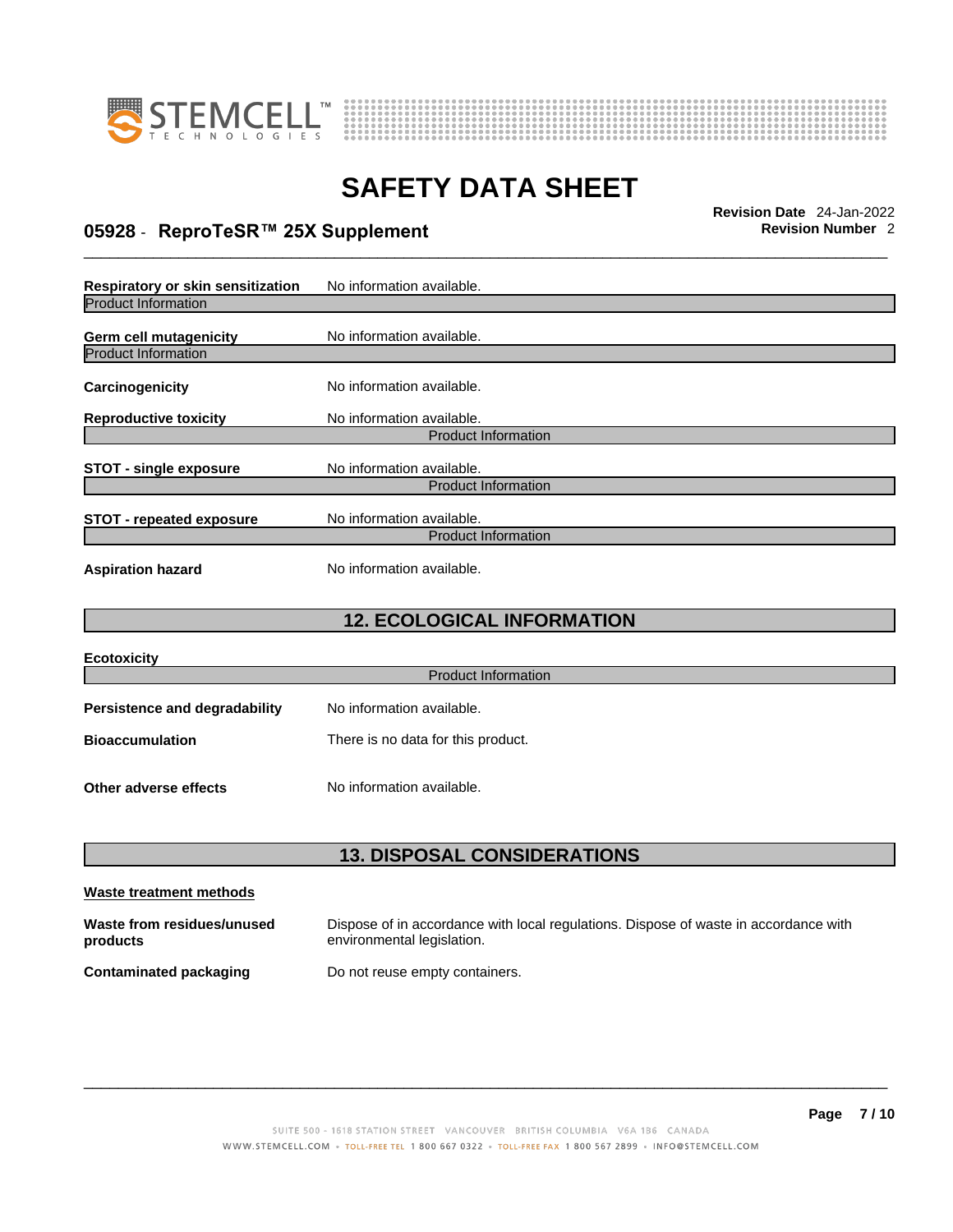



## \_\_\_\_\_\_\_\_\_\_\_\_\_\_\_\_\_\_\_\_\_\_\_\_\_\_\_\_\_\_\_\_\_\_\_\_\_\_\_\_\_\_\_\_\_\_\_\_\_\_\_\_\_\_\_\_\_\_\_\_\_\_\_\_\_\_\_\_\_\_\_\_\_\_\_\_\_\_\_\_\_\_\_\_\_\_\_\_\_\_\_\_\_ **Revision Date** 24-Jan-2022 **05928** - **ReproTeSR™ 25X Supplement Revision Number** 2

| Respiratory or skin sensitization                    | No information available.  |
|------------------------------------------------------|----------------------------|
| <b>Product Information</b>                           |                            |
| Germ cell mutagenicity<br><b>Product Information</b> | No information available.  |
| Carcinogenicity                                      | No information available.  |
| <b>Reproductive toxicity</b>                         | No information available.  |
|                                                      | <b>Product Information</b> |
| <b>STOT - single exposure</b>                        | No information available.  |
|                                                      | <b>Product Information</b> |
| <b>STOT - repeated exposure</b>                      | No information available.  |
|                                                      | <b>Product Information</b> |
| <b>Aspiration hazard</b>                             | No information available.  |

## **12. ECOLOGICAL INFORMATION**

| <b>Ecotoxicity</b>                   |                                    |
|--------------------------------------|------------------------------------|
|                                      | <b>Product Information</b>         |
| <b>Persistence and degradability</b> | No information available.          |
| <b>Bioaccumulation</b>               | There is no data for this product. |
| Other adverse effects                | No information available.          |

### **13. DISPOSAL CONSIDERATIONS**

| Waste treatment methods                |                                                                                                                    |
|----------------------------------------|--------------------------------------------------------------------------------------------------------------------|
| Waste from residues/unused<br>products | Dispose of in accordance with local regulations. Dispose of waste in accordance with<br>environmental legislation. |
| Contaminated packaging                 | Do not reuse empty containers.                                                                                     |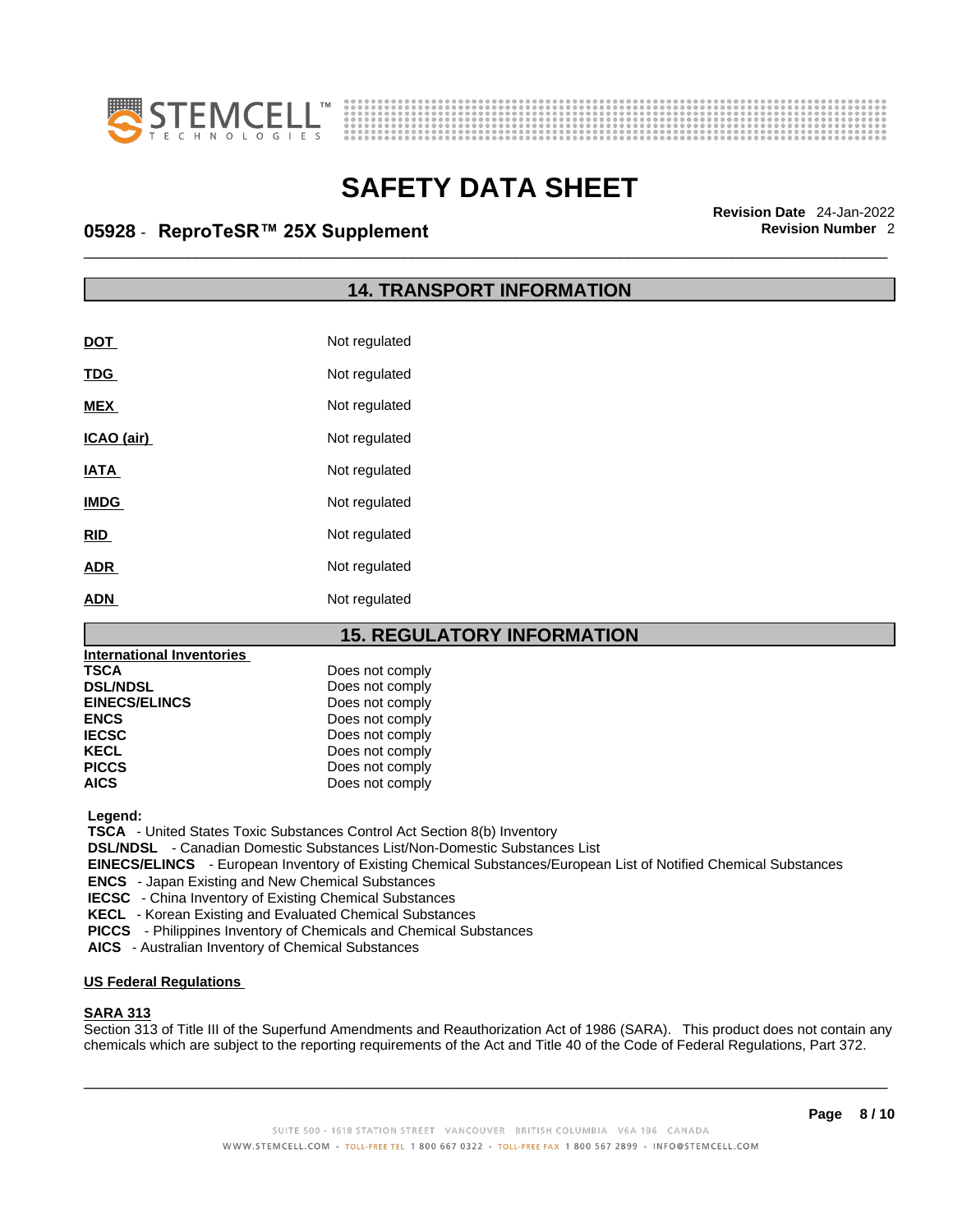



## \_\_\_\_\_\_\_\_\_\_\_\_\_\_\_\_\_\_\_\_\_\_\_\_\_\_\_\_\_\_\_\_\_\_\_\_\_\_\_\_\_\_\_\_\_\_\_\_\_\_\_\_\_\_\_\_\_\_\_\_\_\_\_\_\_\_\_\_\_\_\_\_\_\_\_\_\_\_\_\_\_\_\_\_\_\_\_\_\_\_\_\_\_ **Revision Date** 24-Jan-2022 **05928** - **ReproTeSR™ 25X Supplement Revision Number** 2

### **14. TRANSPORT INFORMATION**

| DOT         | Not regulated |
|-------------|---------------|
| <b>TDG</b>  | Not regulated |
| <b>MEX</b>  | Not regulated |
| ICAO (air)  | Not regulated |
| <b>IATA</b> | Not regulated |
| <b>IMDG</b> | Not regulated |
| <b>RID</b>  | Not regulated |
| <b>ADR</b>  | Not regulated |
| ADN         | Not regulated |

### **15. REGULATORY INFORMATION**

| Does not comply |  |
|-----------------|--|
| Does not comply |  |
| Does not comply |  |
| Does not comply |  |
| Does not comply |  |
| Does not comply |  |
| Does not comply |  |
| Does not comply |  |
|                 |  |

 **Legend:** 

 **TSCA** - United States Toxic Substances Control Act Section 8(b) Inventory

 **DSL/NDSL** - Canadian Domestic Substances List/Non-Domestic Substances List

 **EINECS/ELINCS** - European Inventory of Existing Chemical Substances/European List of Notified Chemical Substances

 **ENCS** - Japan Existing and New Chemical Substances

 **IECSC** - China Inventory of Existing Chemical Substances

 **KECL** - Korean Existing and Evaluated Chemical Substances

 **PICCS** - Philippines Inventory of Chemicals and Chemical Substances

 **AICS** - Australian Inventory of Chemical Substances

#### **US Federal Regulations**

### **SARA 313**

Section 313 of Title III of the Superfund Amendments and Reauthorization Act of 1986 (SARA). This product does not contain any chemicals which are subject to the reporting requirements of the Act and Title 40 of the Code of Federal Regulations, Part 372.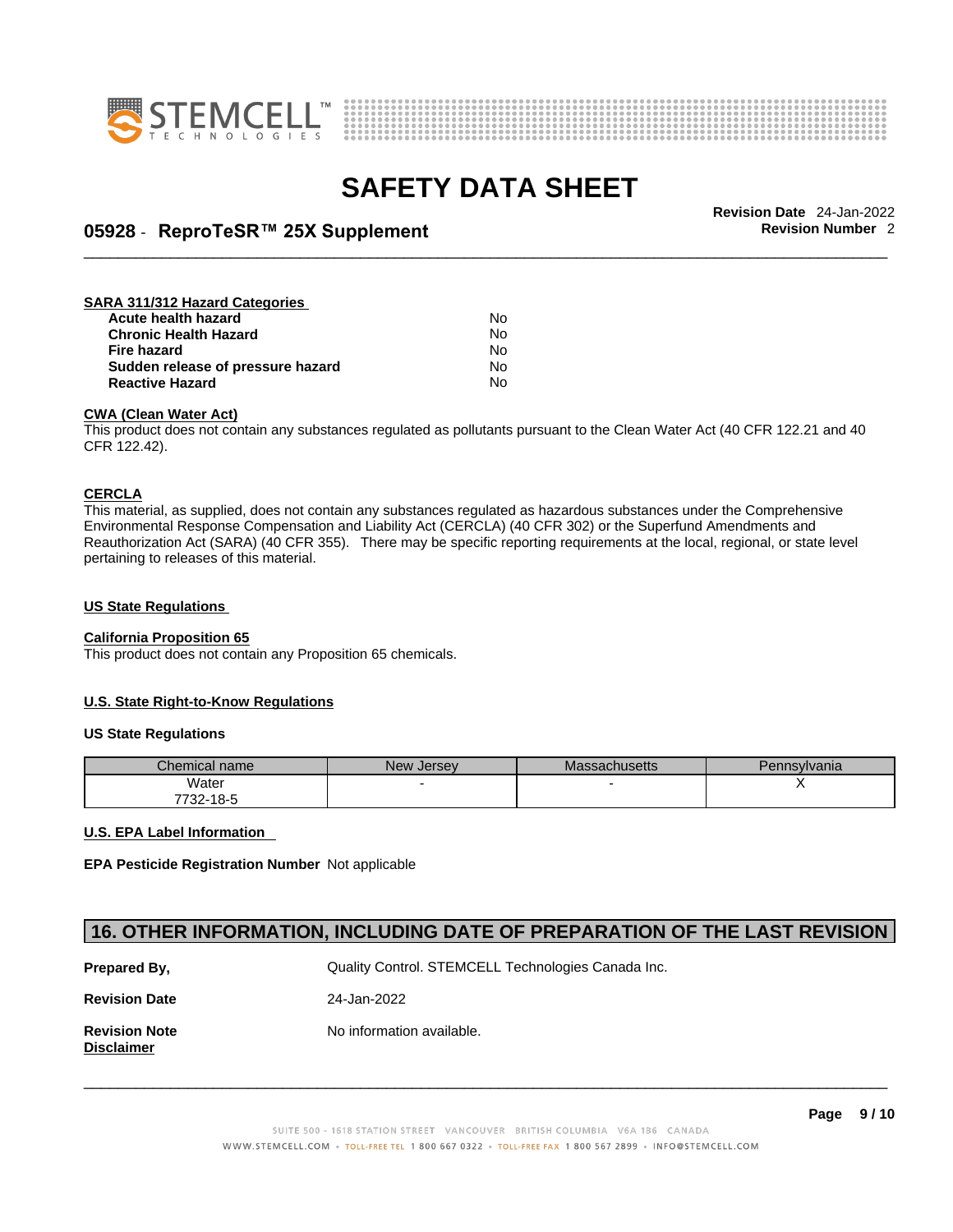



## \_\_\_\_\_\_\_\_\_\_\_\_\_\_\_\_\_\_\_\_\_\_\_\_\_\_\_\_\_\_\_\_\_\_\_\_\_\_\_\_\_\_\_\_\_\_\_\_\_\_\_\_\_\_\_\_\_\_\_\_\_\_\_\_\_\_\_\_\_\_\_\_\_\_\_\_\_\_\_\_\_\_\_\_\_\_\_\_\_\_\_\_\_ **Revision Date** 24-Jan-2022 **05928** - **ReproTeSR™ 25X Supplement Revision Number** 2

#### **SARA 311/312 Hazard Categories Acute health hazard** No **Chronic Health Hazard No. 1996 12:33 No. 1996 12:34 No. 1996 12:34 No. 1996 12:34 No. 1996 12:34 No. 1999 12:34 No. 1999 12:34 No. 1999 12:34 No. 1999 12:34 No. 1999 12:34 No. 1999 12:34 No. 1999 12:34 No. 1999 12:34 No Fire hazard** No<br>**Sudden release of pressure hazard No** No **Sudden release of pressure hazard Reactive Hazard** No

### **CWA (Clean WaterAct)**

This product does not contain any substances regulated as pollutants pursuant to the Clean Water Act (40 CFR 122.21 and 40 CFR 122.42).

#### **CERCLA**

This material, as supplied, does not contain any substances regulated as hazardous substances under the Comprehensive Environmental Response Compensation and Liability Act (CERCLA) (40 CFR 302) or the Superfund Amendments and Reauthorization Act (SARA) (40 CFR 355). There may be specific reporting requirements at the local, regional, or state level pertaining to releases of this material.

### **US State Regulations**

### **California Proposition 65**

This product does not contain any Proposition 65 chemicals.

### **U.S. State Right-to-Know Regulations**

#### **US State Regulations**

| Chemical name    | <b>New</b><br>. Jersev | Massachusetts | Pennsylvania |
|------------------|------------------------|---------------|--------------|
| Water            |                        |               |              |
| フフへへ<br>732-18-5 |                        |               |              |

#### **U.S. EPA Label Information**

**EPA Pesticide Registration Number** Not applicable

### **16. OTHER INFORMATION, INCLUDING DATE OF PREPARATION OF THE LAST REVISION**

| Prepared By,                              | Quality Control. STEMCELL Technologies Canada Inc. |
|-------------------------------------------|----------------------------------------------------|
| <b>Revision Date</b>                      | 24-Jan-2022                                        |
| <b>Revision Note</b><br><b>Disclaimer</b> | No information available.                          |